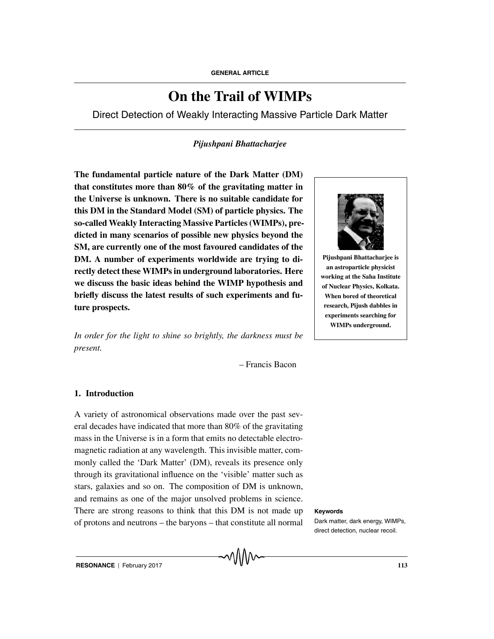# **On the Trail of WIMPs**

Direct Detection of Weakly Interacting Massive Particle Dark Matter

## *Pijushpani Bhattacharjee*

**The fundamental particle nature of the Dark Matter (DM) that constitutes more than 80% of the gravitating matter in the Universe is unknown. There is no suitable candidate for this DM in the Standard Model (SM) of particle physics. The so-called Weakly Interacting Massive Particles (WIMPs), predicted in many scenarios of possible new physics beyond the SM, are currently one of the most favoured candidates of the DM. A number of experiments worldwide are trying to directly detect these WIMPs in underground laboratories. Here we discuss the basic ideas behind the WIMP hypothesis and briefly discuss the latest results of such experiments and future prospects.**

*In order for the light to shine so brightly, the darkness must be present.*

– Francis Bacon

### **1. Introduction**

A variety of astronomical observations made over the past several decades have indicated that more than 80% of the gravitating mass in the Universe is in a form that emits no detectable electromagnetic radiation at any wavelength. This invisible matter, commonly called the 'Dark Matter' (DM), reveals its presence only through its gravitational influence on the 'visible' matter such as stars, galaxies and so on. The composition of DM is unknown, and remains as one of the major unsolved problems in science. There are strong reasons to think that this DM is not made up **Keywords** of protons and neutrons – the baryons – that constitute all normal



**Pijushpani Bhattacharjee is an astroparticle physicist working at the Saha Institute of Nuclear Physics, Kolkata. When bored of theoretical research, Pijush dabbles in experiments searching for WIMPs underground.**

Dark matter, dark energy, WIMPs, direct detection, nuclear recoil.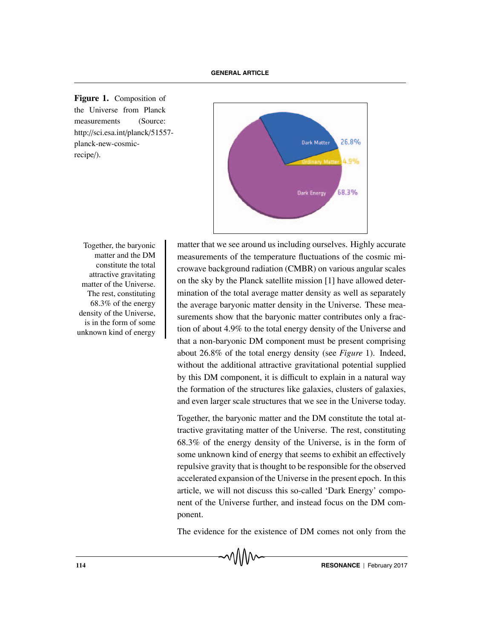**Figure 1.** Composition of the Universe from Planck measurements (Source: http://sci.esa.int/planck/51557 planck-new-cosmicrecipe/).



matter and the DM constitute the total attractive gravitating matter of the Universe. The rest, constituting 68.3% of the energy density of the Universe, is in the form of some unknown kind of energy

Together, the baryonic matter that we see around us including ourselves. Highly accurate measurements of the temperature fluctuations of the cosmic microwave background radiation (CMBR) on various angular scales on the sky by the Planck satellite mission [1] have allowed determination of the total average matter density as well as separately the average baryonic matter density in the Universe. These measurements show that the baryonic matter contributes only a fraction of about 4.9% to the total energy density of the Universe and that a non-baryonic DM component must be present comprising about 26.8% of the total energy density (see *Figure* 1). Indeed, without the additional attractive gravitational potential supplied by this DM component, it is difficult to explain in a natural way the formation of the structures like galaxies, clusters of galaxies, and even larger scale structures that we see in the Universe today.

> Together, the baryonic matter and the DM constitute the total attractive gravitating matter of the Universe. The rest, constituting 68.3% of the energy density of the Universe, is in the form of some unknown kind of energy that seems to exhibit an effectively repulsive gravity that is thought to be responsible for the observed accelerated expansion of the Universe in the present epoch. In this article, we will not discuss this so-called 'Dark Energy' component of the Universe further, and instead focus on the DM component.

> The evidence for the existence of DM comes not only from the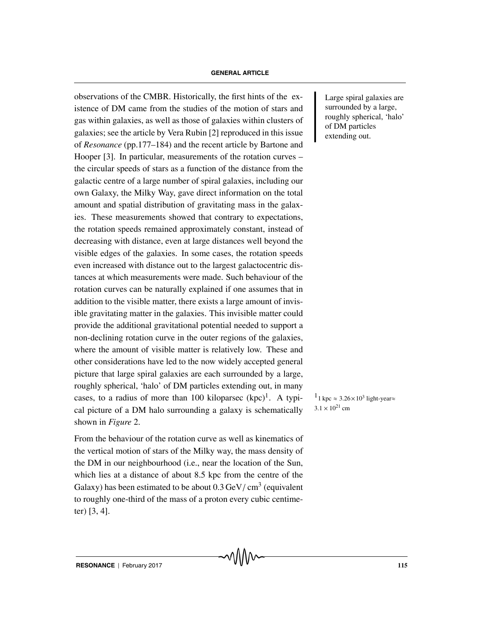observations of the CMBR. Historically, the first hints of the ex-<br>Large spiral galaxies are istence of DM came from the studies of the motion of stars and gas within galaxies, as well as those of galaxies within clusters of galaxies; see the article by Vera Rubin [2] reproduced in this issue of *Resonance* (pp.177–184) and the recent article by Bartone and Hooper [3]. In particular, measurements of the rotation curves – the circular speeds of stars as a function of the distance from the galactic centre of a large number of spiral galaxies, including our own Galaxy, the Milky Way, gave direct information on the total amount and spatial distribution of gravitating mass in the galaxies. These measurements showed that contrary to expectations, the rotation speeds remained approximately constant, instead of decreasing with distance, even at large distances well beyond the visible edges of the galaxies. In some cases, the rotation speeds even increased with distance out to the largest galactocentric distances at which measurements were made. Such behaviour of the rotation curves can be naturally explained if one assumes that in addition to the visible matter, there exists a large amount of invisible gravitating matter in the galaxies. This invisible matter could provide the additional gravitational potential needed to support a non-declining rotation curve in the outer regions of the galaxies, where the amount of visible matter is relatively low. These and other considerations have led to the now widely accepted general picture that large spiral galaxies are each surrounded by a large, roughly spherical, 'halo' of DM particles extending out, in many cases, to a radius of more than 100 kiloparsec  $(kpc)^1$ . A typi-  $1_{1 \text{ kpc}} \approx 3.26 \times 10^3$  light-year cal picture of a DM halo surrounding a galaxy is schematically shown in *Figure* 2.

From the behaviour of the rotation curve as well as kinematics of the vertical motion of stars of the Milky way, the mass density of the DM in our neighbourhood (i.e., near the location of the Sun, which lies at a distance of about 8.5 kpc from the centre of the Galaxy) has been estimated to be about  $0.3 \text{ GeV}/\text{ cm}^3$  (equivalent to roughly one-third of the mass of a proton every cubic centimeter) [3, 4].

surrounded by a large, roughly spherical, 'halo' of DM particles extending out.

 $3.1 \times 10^{21}$  cm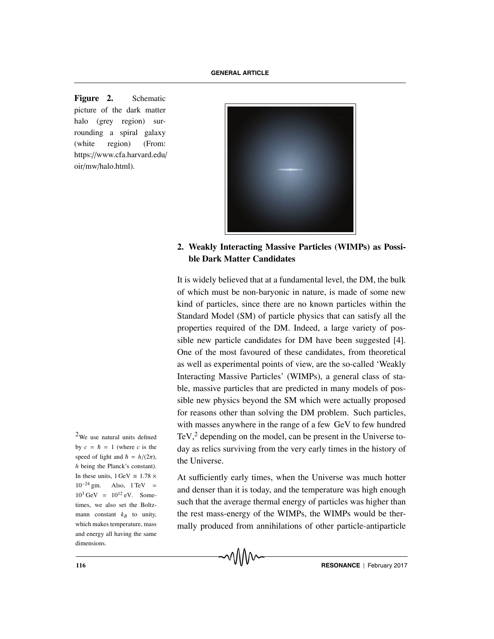**Figure 2.** Schematic picture of the dark matter halo (grey region) surrounding a spiral galaxy (white region) (From: https://www.cfa.harvard.edu/ oir/mw/halo.html).



**2. Weakly Interacting Massive Particles (WIMPs) as Possible Dark Matter Candidates**

It is widely believed that at a fundamental level, the DM, the bulk of which must be non-baryonic in nature, is made of some new kind of particles, since there are no known particles within the Standard Model (SM) of particle physics that can satisfy all the properties required of the DM. Indeed, a large variety of possible new particle candidates for DM have been suggested [4]. One of the most favoured of these candidates, from theoretical as well as experimental points of view, are the so-called 'Weakly Interacting Massive Particles' (WIMPs), a general class of stable, massive particles that are predicted in many models of possible new physics beyond the SM which were actually proposed for reasons other than solving the DM problem. Such particles, with masses anywhere in the range of a few GeV to few hundred TeV, $\frac{2}{3}$  depending on the model, can be present in the Universe today as relics surviving from the very early times in the history of the Universe.

At sufficiently early times, when the Universe was much hotter and denser than it is today, and the temperature was high enough such that the average thermal energy of particles was higher than the rest mass-energy of the WIMPs, the WIMPs would be thermally produced from annihilations of other particle-antiparticle

 $2$ We use natural units defined by  $c = \hbar = 1$  (where *c* is the speed of light and  $\hbar = h/(2\pi)$ , *h* being the Planck's constant). In these units,  $1 \text{ GeV} = 1.78 \times$  $10^{-24}$  gm. Also, 1 TeV =  $10^3$  GeV =  $10^{12}$  eV. Sometimes, we also set the Boltzmann constant  $k_B$  to unity, which makes temperature, mass and energy all having the same dimensions.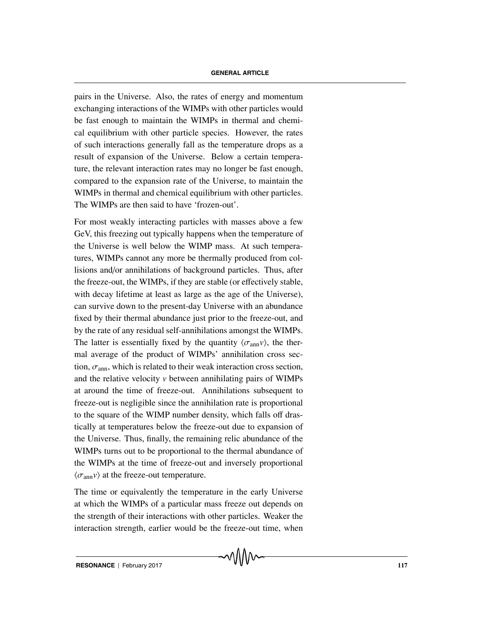pairs in the Universe. Also, the rates of energy and momentum exchanging interactions of the WIMPs with other particles would be fast enough to maintain the WIMPs in thermal and chemical equilibrium with other particle species. However, the rates of such interactions generally fall as the temperature drops as a result of expansion of the Universe. Below a certain temperature, the relevant interaction rates may no longer be fast enough, compared to the expansion rate of the Universe, to maintain the WIMPs in thermal and chemical equilibrium with other particles. The WIMPs are then said to have 'frozen-out'.

For most weakly interacting particles with masses above a few GeV, this freezing out typically happens when the temperature of the Universe is well below the WIMP mass. At such temperatures, WIMPs cannot any more be thermally produced from collisions and/or annihilations of background particles. Thus, after the freeze-out, the WIMPs, if they are stable (or effectively stable, with decay lifetime at least as large as the age of the Universe), can survive down to the present-day Universe with an abundance fixed by their thermal abundance just prior to the freeze-out, and by the rate of any residual self-annihilations amongst the WIMPs. The latter is essentially fixed by the quantity  $\langle \sigma_{ann} v \rangle$ , the thermal average of the product of WIMPs' annihilation cross section,  $\sigma_{\text{ann}}$ , which is related to their weak interaction cross section, and the relative velocity *v* between annihilating pairs of WIMPs at around the time of freeze-out. Annihilations subsequent to freeze-out is negligible since the annihilation rate is proportional to the square of the WIMP number density, which falls off drastically at temperatures below the freeze-out due to expansion of the Universe. Thus, finally, the remaining relic abundance of the WIMPs turns out to be proportional to the thermal abundance of the WIMPs at the time of freeze-out and inversely proportional  $\langle \sigma_{\rm ann} v \rangle$  at the freeze-out temperature.

The time or equivalently the temperature in the early Universe at which the WIMPs of a particular mass freeze out depends on the strength of their interactions with other particles. Weaker the interaction strength, earlier would be the freeze-out time, when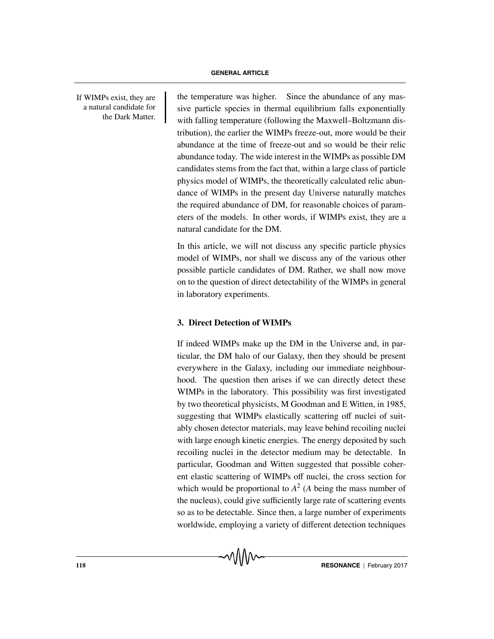a natural candidate for the Dark Matter.

If WIMPs exist, they are  $\parallel$  the temperature was higher. Since the abundance of any massive particle species in thermal equilibrium falls exponentially with falling temperature (following the Maxwell–Boltzmann distribution), the earlier the WIMPs freeze-out, more would be their abundance at the time of freeze-out and so would be their relic abundance today. The wide interest in the WIMPs as possible DM candidates stems from the fact that, within a large class of particle physics model of WIMPs, the theoretically calculated relic abundance of WIMPs in the present day Universe naturally matches the required abundance of DM, for reasonable choices of parameters of the models. In other words, if WIMPs exist, they are a natural candidate for the DM.

> In this article, we will not discuss any specific particle physics model of WIMPs, nor shall we discuss any of the various other possible particle candidates of DM. Rather, we shall now move on to the question of direct detectability of the WIMPs in general in laboratory experiments.

### **3. Direct Detection of WIMPs**

If indeed WIMPs make up the DM in the Universe and, in particular, the DM halo of our Galaxy, then they should be present everywhere in the Galaxy, including our immediate neighbourhood. The question then arises if we can directly detect these WIMPs in the laboratory. This possibility was first investigated by two theoretical physicists, M Goodman and E Witten, in 1985, suggesting that WIMPs elastically scattering off nuclei of suitably chosen detector materials, may leave behind recoiling nuclei with large enough kinetic energies. The energy deposited by such recoiling nuclei in the detector medium may be detectable. In particular, Goodman and Witten suggested that possible coherent elastic scattering of WIMPs off nuclei, the cross section for which would be proportional to  $A^2$  (A being the mass number of the nucleus), could give sufficiently large rate of scattering events so as to be detectable. Since then, a large number of experiments worldwide, employing a variety of different detection techniques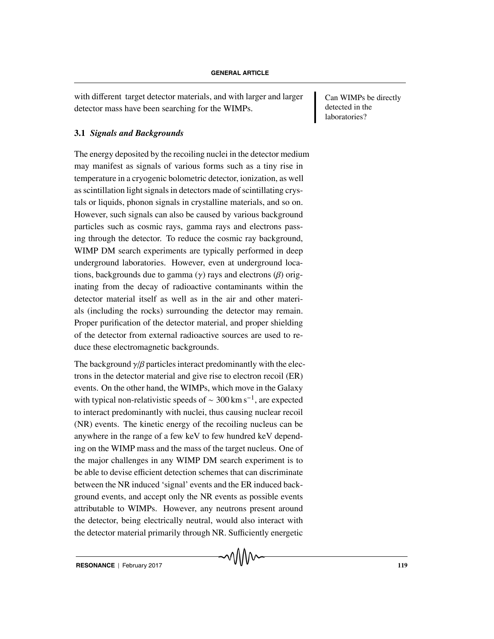with different target detector materials, and with larger and larger Can WIMPs be directly detector mass have been searching for the WIMPs.

#### **3.1** *Signals and Backgrounds*

The energy deposited by the recoiling nuclei in the detector medium may manifest as signals of various forms such as a tiny rise in temperature in a cryogenic bolometric detector, ionization, as well as scintillation light signals in detectors made of scintillating crystals or liquids, phonon signals in crystalline materials, and so on. However, such signals can also be caused by various background particles such as cosmic rays, gamma rays and electrons passing through the detector. To reduce the cosmic ray background, WIMP DM search experiments are typically performed in deep underground laboratories. However, even at underground locations, backgrounds due to gamma (γ) rays and electrons (β) originating from the decay of radioactive contaminants within the detector material itself as well as in the air and other materials (including the rocks) surrounding the detector may remain. Proper purification of the detector material, and proper shielding of the detector from external radioactive sources are used to reduce these electromagnetic backgrounds.

The background  $\gamma/\beta$  particles interact predominantly with the electrons in the detector material and give rise to electron recoil (ER) events. On the other hand, the WIMPs, which move in the Galaxy with typical non-relativistic speeds of  $\sim$  300 km s<sup>-1</sup>, are expected to interact predominantly with nuclei, thus causing nuclear recoil (NR) events. The kinetic energy of the recoiling nucleus can be anywhere in the range of a few keV to few hundred keV depending on the WIMP mass and the mass of the target nucleus. One of the major challenges in any WIMP DM search experiment is to be able to devise efficient detection schemes that can discriminate between the NR induced 'signal' events and the ER induced background events, and accept only the NR events as possible events attributable to WIMPs. However, any neutrons present around the detector, being electrically neutral, would also interact with the detector material primarily through NR. Sufficiently energetic

detected in the laboratories?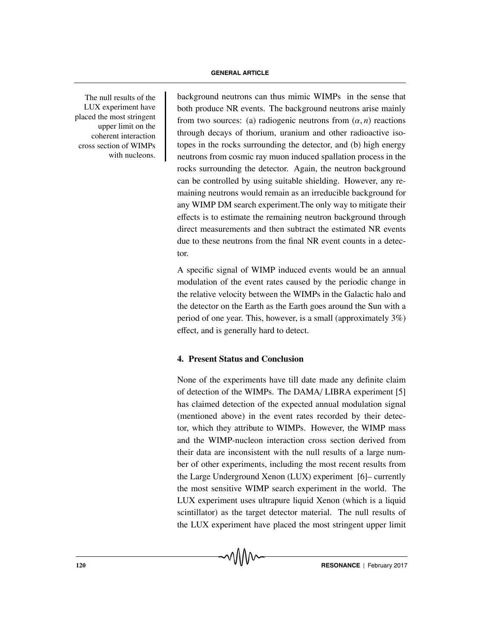LUX experiment have placed the most stringent upper limit on the coherent interaction cross section of WIMPs with nucleons.

The null results of the background neutrons can thus mimic WIMPs in the sense that both produce NR events. The background neutrons arise mainly from two sources: (a) radiogenic neutrons from  $(\alpha, n)$  reactions through decays of thorium, uranium and other radioactive isotopes in the rocks surrounding the detector, and (b) high energy neutrons from cosmic ray muon induced spallation process in the rocks surrounding the detector. Again, the neutron background can be controlled by using suitable shielding. However, any remaining neutrons would remain as an irreducible background for any WIMP DM search experiment.The only way to mitigate their effects is to estimate the remaining neutron background through direct measurements and then subtract the estimated NR events due to these neutrons from the final NR event counts in a detector.

> A specific signal of WIMP induced events would be an annual modulation of the event rates caused by the periodic change in the relative velocity between the WIMPs in the Galactic halo and the detector on the Earth as the Earth goes around the Sun with a period of one year. This, however, is a small (approximately 3%) effect, and is generally hard to detect.

#### **4. Present Status and Conclusion**

None of the experiments have till date made any definite claim of detection of the WIMPs. The DAMA/ LIBRA experiment [5] has claimed detection of the expected annual modulation signal (mentioned above) in the event rates recorded by their detector, which they attribute to WIMPs. However, the WIMP mass and the WIMP-nucleon interaction cross section derived from their data are inconsistent with the null results of a large number of other experiments, including the most recent results from the Large Underground Xenon (LUX) experiment [6]– currently the most sensitive WIMP search experiment in the world. The LUX experiment uses ultrapure liquid Xenon (which is a liquid scintillator) as the target detector material. The null results of the LUX experiment have placed the most stringent upper limit